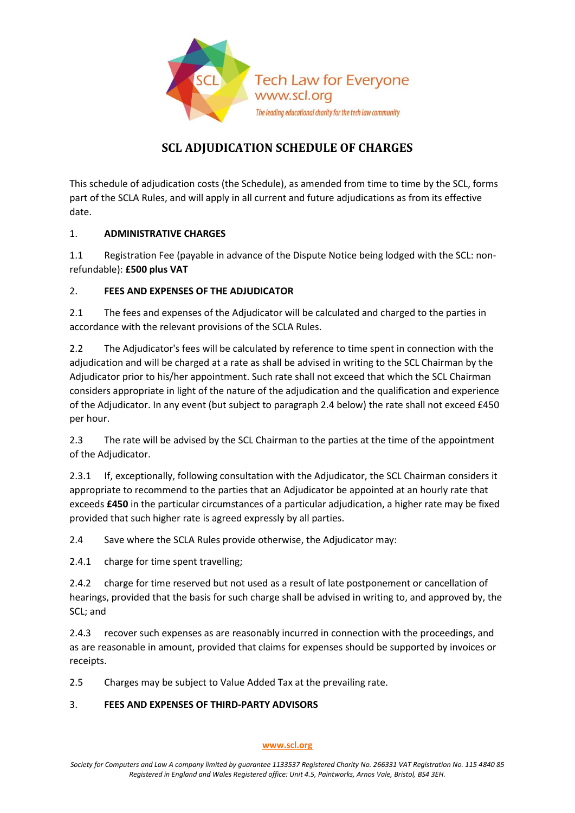

# **SCL ADJUDICATION SCHEDULE OF CHARGES**

This schedule of adjudication costs (the Schedule), as amended from time to time by the SCL, forms part of the SCLA Rules, and will apply in all current and future adjudications as from its effective date.

### 1. **ADMINISTRATIVE CHARGES**

1.1 Registration Fee (payable in advance of the Dispute Notice being lodged with the SCL: nonrefundable): **£500 plus VAT**

### 2. **FEES AND EXPENSES OF THE ADJUDICATOR**

2.1 The fees and expenses of the Adjudicator will be calculated and charged to the parties in accordance with the relevant provisions of the SCLA Rules.

2.2 The Adjudicator's fees will be calculated by reference to time spent in connection with the adjudication and will be charged at a rate as shall be advised in writing to the SCL Chairman by the Adjudicator prior to his/her appointment. Such rate shall not exceed that which the SCL Chairman considers appropriate in light of the nature of the adjudication and the qualification and experience of the Adjudicator. In any event (but subject to paragraph 2.4 below) the rate shall not exceed £450 per hour.

2.3 The rate will be advised by the SCL Chairman to the parties at the time of the appointment of the Adjudicator.

2.3.1 If, exceptionally, following consultation with the Adjudicator, the SCL Chairman considers it appropriate to recommend to the parties that an Adjudicator be appointed at an hourly rate that exceeds **£450** in the particular circumstances of a particular adjudication, a higher rate may be fixed provided that such higher rate is agreed expressly by all parties.

2.4 Save where the SCLA Rules provide otherwise, the Adjudicator may:

2.4.1 charge for time spent travelling;

2.4.2 charge for time reserved but not used as a result of late postponement or cancellation of hearings, provided that the basis for such charge shall be advised in writing to, and approved by, the SCL; and

2.4.3 recover such expenses as are reasonably incurred in connection with the proceedings, and as are reasonable in amount, provided that claims for expenses should be supported by invoices or receipts.

2.5 Charges may be subject to Value Added Tax at the prevailing rate.

## 3. **FEES AND EXPENSES OF THIRD-PARTY ADVISORS**

#### **[www.scl.org](http://www.scl.org/)**